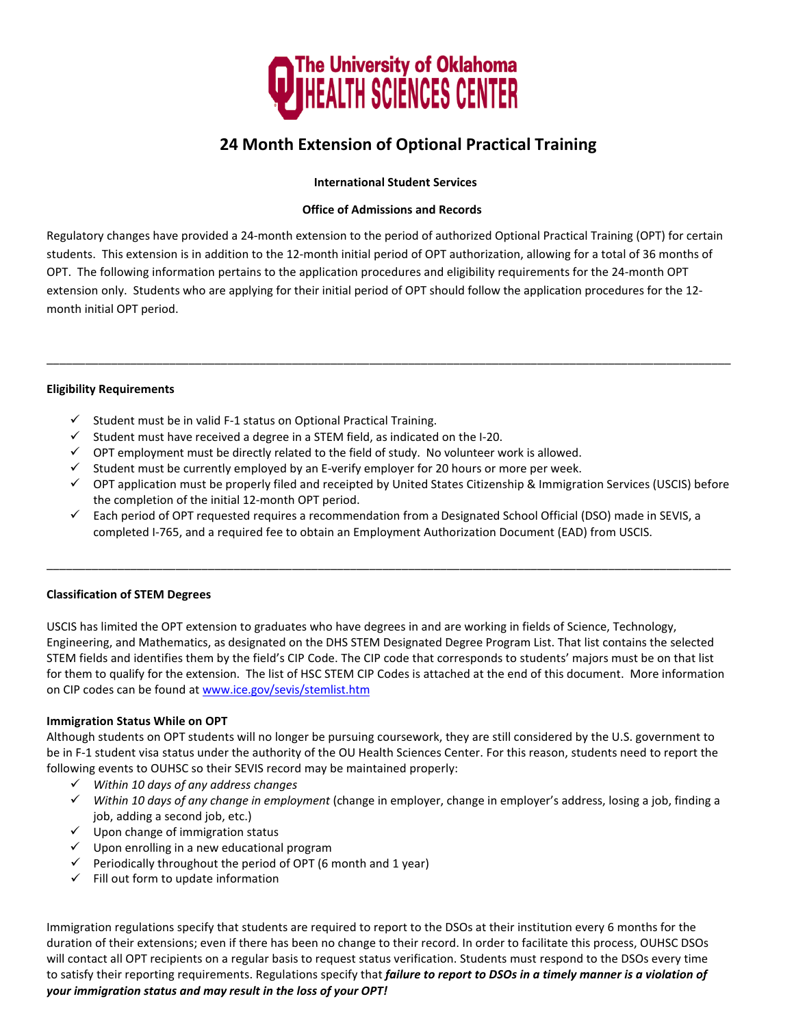

# **24 Month Extension of Optional Practical Training**

#### **International Student Services**

#### **Office of Admissions and Records**

Regulatory changes have provided a 24-month extension to the period of authorized Optional Practical Training (OPT) for certain students. This extension is in addition to the 12-month initial period of OPT authorization, allowing for a total of 36 months of OPT. The following information pertains to the application procedures and eligibility requirements for the 24-month OPT extension only. Students who are applying for their initial period of OPT should follow the application procedures for the 12 month initial OPT period.

\_\_\_\_\_\_\_\_\_\_\_\_\_\_\_\_\_\_\_\_\_\_\_\_\_\_\_\_\_\_\_\_\_\_\_\_\_\_\_\_\_\_\_\_\_\_\_\_\_\_\_\_\_\_\_\_\_\_\_\_\_\_\_\_\_\_\_\_\_\_\_\_\_\_\_\_\_\_\_\_\_\_\_\_\_\_\_\_\_\_\_\_\_\_\_\_\_\_\_\_\_\_\_\_\_\_

#### **Eligibility Requirements**

- $\checkmark$  Student must be in valid F-1 status on Optional Practical Training.
- $\checkmark$  Student must have received a degree in a STEM field, as indicated on the I-20.
- $\checkmark$  OPT employment must be directly related to the field of study. No volunteer work is allowed.
- $\checkmark$  Student must be currently employed by an E-verify employer for 20 hours or more per week.
- OPT application must be properly filed and receipted by United States Citizenship & Immigration Services (USCIS) before the completion of the initial 12-month OPT period.
- $\checkmark$  Each period of OPT requested requires a recommendation from a Designated School Official (DSO) made in SEVIS, a completed I-765, and a required fee to obtain an Employment Authorization Document (EAD) from USCIS.

\_\_\_\_\_\_\_\_\_\_\_\_\_\_\_\_\_\_\_\_\_\_\_\_\_\_\_\_\_\_\_\_\_\_\_\_\_\_\_\_\_\_\_\_\_\_\_\_\_\_\_\_\_\_\_\_\_\_\_\_\_\_\_\_\_\_\_\_\_\_\_\_\_\_\_\_\_\_\_\_\_\_\_\_\_\_\_\_\_\_\_\_\_\_\_\_\_\_\_\_\_\_\_\_\_\_

#### **Classification of STEM Degrees**

USCIS has limited the OPT extension to graduates who have degrees in and are working in fields of Science, Technology, Engineering, and Mathematics, as designated on the DHS STEM Designated Degree Program List. That list contains the selected STEM fields and identifies them by the field's CIP Code. The CIP code that corresponds to students' majors must be on that list for them to qualify for the extension. The list of HSC STEM CIP Codes is attached at the end of this document. More information on CIP codes can be found at [www.ice.gov/sevis/stemlist](http://www.ice.gov/sevis/stemlist.htm).htm

#### **Immigration Status While on OPT**

Although students on OPT students will no longer be pursuing coursework, they are still considered by the U.S. government to be in F-1 student visa status under the authority of the OU Health Sciences Center. For this reason, students need to report the following events to OUHSC so their SEVIS record may be maintained properly:

- *Within 10 days of any address changes*
- *Within 10 days of any change in employment* (change in employer, change in employer's address, losing a job, finding a job, adding a second job, etc.)
- $\checkmark$  Upon change of immigration status
- $\checkmark$  Upon enrolling in a new educational program
- $\checkmark$  Periodically throughout the period of OPT (6 month and 1 year)
- $\checkmark$  Fill out form to update information

Immigration regulations specify that students are required to report to the DSOs at their institution every 6 months for the duration of their extensions; even if there has been no change to their record. In order to facilitate this process, OUHSC DSOs will contact all OPT recipients on a regular basis to request status verification. Students must respond to the DSOs every time to satisfy their reporting requirements. Regulations specify that *failure to report to DSOs in a timely manner is a violation of your immigration status and may result in the loss of your OPT!*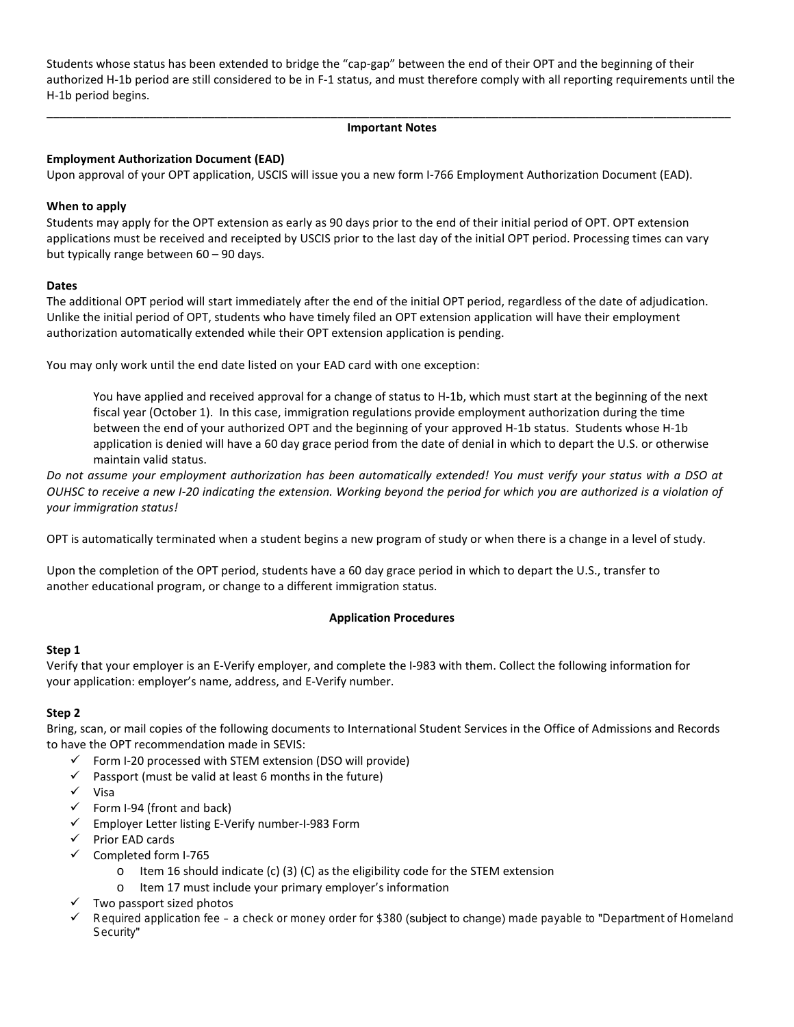Students whose status has been extended to bridge the "cap-gap" between the end of their OPT and the beginning of their authorized H-1b period are still considered to be in F-1 status, and must therefore comply with all reporting requirements until the H-1b period begins.

#### \_\_\_\_\_\_\_\_\_\_\_\_\_\_\_\_\_\_\_\_\_\_\_\_\_\_\_\_\_\_\_\_\_\_\_\_\_\_\_\_\_\_\_\_\_\_\_\_\_\_\_\_\_\_\_\_\_\_\_\_\_\_\_\_\_\_\_\_\_\_\_\_\_\_\_\_\_\_\_\_\_\_\_\_\_\_\_\_\_\_\_\_\_\_\_\_\_\_\_\_\_\_\_\_\_\_ **Important Notes**

#### **Employment Authorization Document (EAD)**

Upon approval of your OPT application, USCIS will issue you a new form I-766 Employment Authorization Document (EAD).

#### **When to apply**

Students may apply for the OPT extension as early as 90 days prior to the end of their initial period of OPT. OPT extension applications must be received and receipted by USCIS prior to the last day of the initial OPT period. Processing times can vary but typically range between 60 – 90 days.

#### **Dates**

The additional OPT period will start immediately after the end of the initial OPT period, regardless of the date of adjudication. Unlike the initial period of OPT, students who have timely filed an OPT extension application will have their employment authorization automatically extended while their OPT extension application is pending.

You may only work until the end date listed on your EAD card with one exception:

You have applied and received approval for a change of status to H-1b, which must start at the beginning of the next fiscal year (October 1). In this case, immigration regulations provide employment authorization during the time between the end of your authorized OPT and the beginning of your approved H-1b status. Students whose H-1b application is denied will have a 60 day grace period from the date of denial in which to depart the U.S. or otherwise maintain valid status.

*Do not assume your employment authorization has been automatically extended! You must verify your status with a DSO at OUHSC to receive a new I-20 indicating the extension. Working beyond the period for which you are authorized is a violation of your immigration status!* 

OPT is automatically terminated when a student begins a new program of study or when there is a change in a level of study.

Upon the completion of the OPT period, students have a 60 day grace period in which to depart the U.S., transfer to another educational program, or change to a different immigration status.

#### **Application Procedures**

#### **Step 1**

Verify that your employer is an E-Verify employer, and complete the I-983 with them. Collect the following information for your application: employer's name, address, and E-Verify number.

#### **Step 2**

Bring, scan, or mail copies of the following documents to International Student Services in the Office of Admissions and Records to have the OPT recommendation made in SEVIS:

- $\checkmark$  Form I-20 processed with STEM extension (DSO will provide)
- $\checkmark$  Passport (must be valid at least 6 months in the future)
- $\checkmark$  Visa
- $\checkmark$  Form I-94 (front and back)
- $\checkmark$  Employer Letter listing E-Verify number-I-983 Form
- $\checkmark$  Prior EAD cards
- $\checkmark$  Completed form I-765
	- o Item 16 should indicate (c) (3) (C) as the eligibility code for the STEM extension
	- o Item 17 must include your primary employer's information
- $\checkmark$  Two passport sized photos
- Required application fee a check or money order for \$380 (subject to change) made payable to "Department of Homeland Security"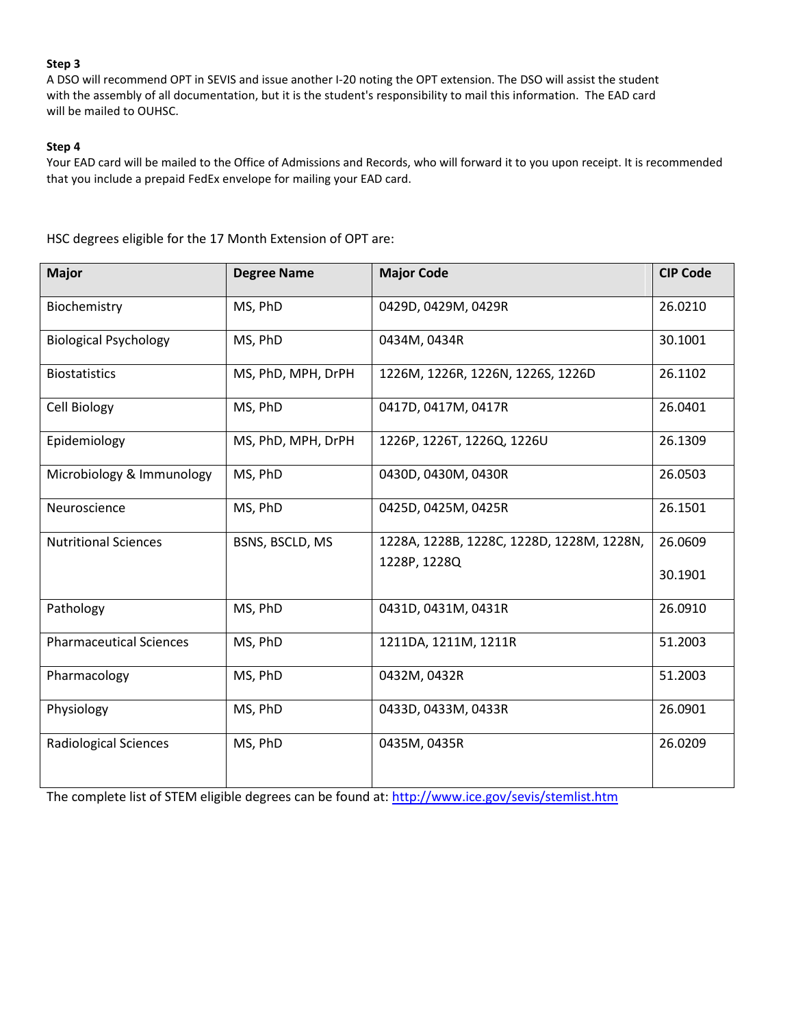#### **Step 3**

A DSO will recommend OPT in SEVIS and issue another I-20 noting the OPT extension. The DSO will assist the student with the assembly of all documentation, but it is the student's responsibility to mail this information. The EAD card will be mailed to OUHSC.

#### **Step 4**

Your EAD card will be mailed to the Office of Admissions and Records, who will forward it to you upon receipt. It is recommended that you include a prepaid FedEx envelope for mailing your EAD card.

HSC degrees eligible for the 17 Month Extension of OPT are:

| <b>Major</b>                   | <b>Degree Name</b> | <b>Major Code</b>                         | <b>CIP Code</b> |
|--------------------------------|--------------------|-------------------------------------------|-----------------|
| Biochemistry                   | MS, PhD            | 0429D, 0429M, 0429R                       | 26.0210         |
| <b>Biological Psychology</b>   | MS, PhD            | 0434M, 0434R                              | 30.1001         |
| <b>Biostatistics</b>           | MS, PhD, MPH, DrPH | 1226M, 1226R, 1226N, 1226S, 1226D         | 26.1102         |
| Cell Biology                   | MS, PhD            | 0417D, 0417M, 0417R                       | 26.0401         |
| Epidemiology                   | MS, PhD, MPH, DrPH | 1226P, 1226T, 1226Q, 1226U                | 26.1309         |
| Microbiology & Immunology      | MS, PhD            | 0430D, 0430M, 0430R                       | 26.0503         |
| Neuroscience                   | MS, PhD            | 0425D, 0425M, 0425R                       | 26.1501         |
| <b>Nutritional Sciences</b>    | BSNS, BSCLD, MS    | 1228A, 1228B, 1228C, 1228D, 1228M, 1228N, | 26.0609         |
|                                |                    | 1228P, 1228Q                              | 30.1901         |
| Pathology                      | MS, PhD            | 0431D, 0431M, 0431R                       | 26.0910         |
| <b>Pharmaceutical Sciences</b> | MS, PhD            | 1211DA, 1211M, 1211R                      | 51.2003         |
| Pharmacology                   | MS, PhD            | 0432M, 0432R                              | 51.2003         |
| Physiology                     | MS, PhD            | 0433D, 0433M, 0433R                       | 26.0901         |
| <b>Radiological Sciences</b>   | MS, PhD            | 0435M, 0435R                              | 26.0209         |

The complete list of STEM eligible degrees can be found at:<http://www.ice.gov/sevis/stemlist.htm>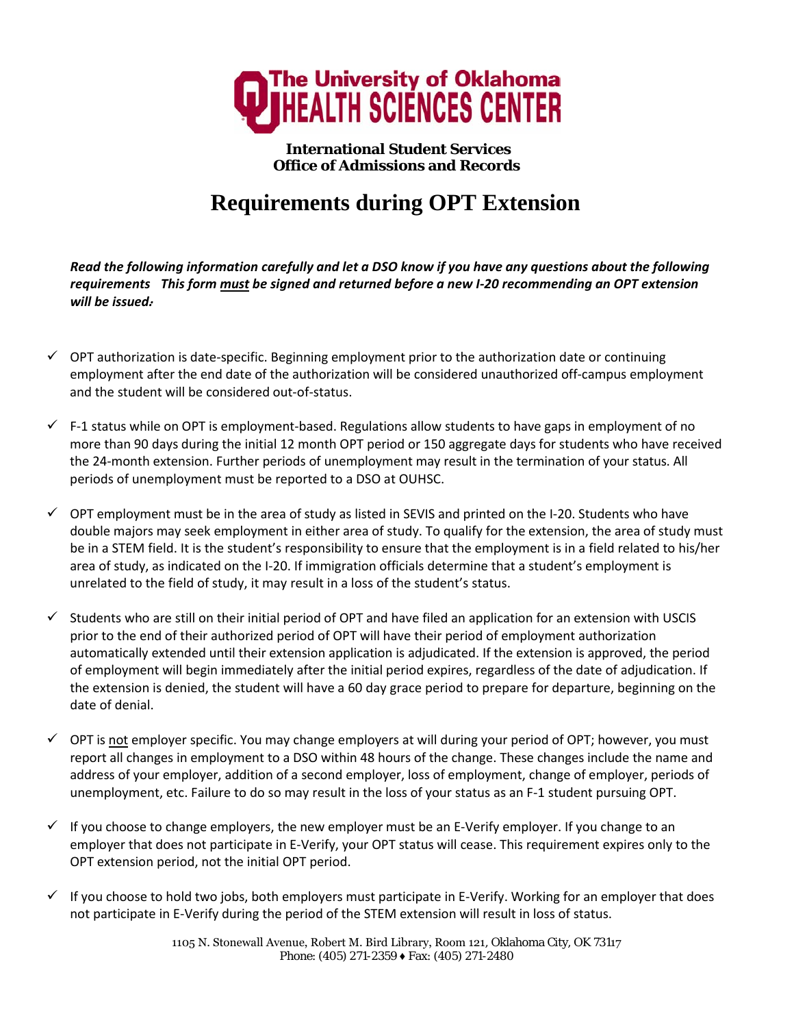

**International Student Services Office of Admissions and Records**

# **Requirements during OPT Extension**

*Read the following information carefully and let a DSO know if you have any questions about the following requirements This form must be signed and returned before a new I-20 recommending an OPT extension . will be issued.* 

- $\checkmark$  OPT authorization is date-specific. Beginning employment prior to the authorization date or continuing employment after the end date of the authorization will be considered unauthorized off-campus employment and the student will be considered out-of-status.
- $\checkmark$  F-1 status while on OPT is employment-based. Regulations allow students to have gaps in employment of no more than 90 days during the initial 12 month OPT period or 150 aggregate days for students who have received the 24-month extension. Further periods of unemployment may result in the termination of your status. All periods of unemployment must be reported to a DSO at OUHSC.
- $\checkmark$  OPT employment must be in the area of study as listed in SEVIS and printed on the I-20. Students who have double majors may seek employment in either area of study. To qualify for the extension, the area of study must be in a STEM field. It is the student's responsibility to ensure that the employment is in a field related to his/her area of study, as indicated on the I-20. If immigration officials determine that a student's employment is unrelated to the field of study, it may result in a loss of the student's status.
- $\checkmark$  Students who are still on their initial period of OPT and have filed an application for an extension with USCIS prior to the end of their authorized period of OPT will have their period of employment authorization automatically extended until their extension application is adjudicated. If the extension is approved, the period of employment will begin immediately after the initial period expires, regardless of the date of adjudication. If the extension is denied, the student will have a 60 day grace period to prepare for departure, beginning on the date of denial.
- $\checkmark$  OPT is not employer specific. You may change employers at will during your period of OPT; however, you must report all changes in employment to a DSO within 48 hours of the change. These changes include the name and address of your employer, addition of a second employer, loss of employment, change of employer, periods of unemployment, etc. Failure to do so may result in the loss of your status as an F-1 student pursuing OPT.
- $\checkmark$  If you choose to change employers, the new employer must be an E-Verify employer. If you change to an employer that does not participate in E-Verify, your OPT status will cease. This requirement expires only to the OPT extension period, not the initial OPT period.
- $\checkmark$  If you choose to hold two jobs, both employers must participate in E-Verify. Working for an employer that does not participate in E-Verify during the period of the STEM extension will result in loss of status.